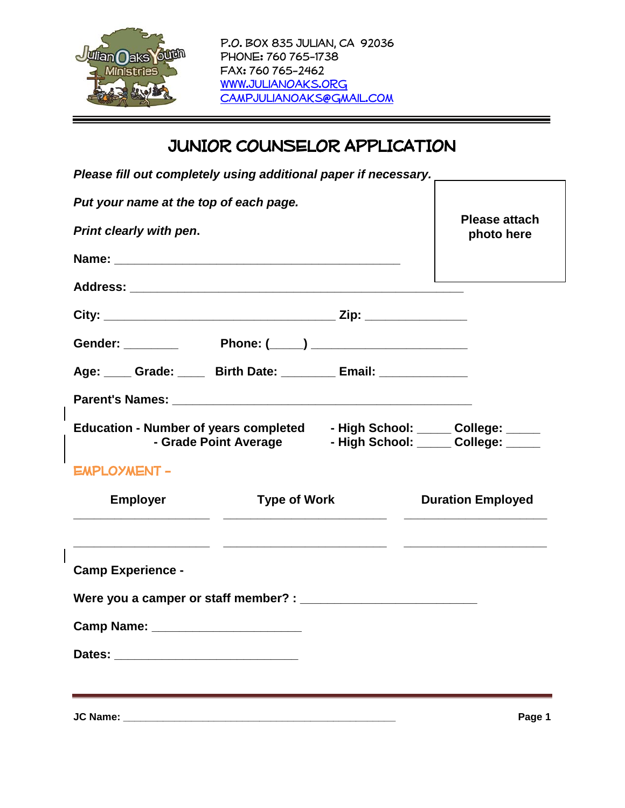

# JUNIOR COUNSELOR APPLICATION

|  | Please fill out completely using additional paper if necessary. _ |
|--|-------------------------------------------------------------------|
|--|-------------------------------------------------------------------|

| Put your name at the top of each page.                                                                                             |                                    |
|------------------------------------------------------------------------------------------------------------------------------------|------------------------------------|
| Print clearly with pen.                                                                                                            | <b>Please attach</b><br>photo here |
|                                                                                                                                    |                                    |
|                                                                                                                                    |                                    |
|                                                                                                                                    |                                    |
|                                                                                                                                    |                                    |
| Age: Crade: Birth Date: Email: Cambridge: Capter Magne: 2014                                                                       |                                    |
|                                                                                                                                    |                                    |
| Education - Number of years completed - High School: _____ College: _____<br>- Grade Point Average Thigh School: College: College: |                                    |
| <b>EMPLOYMENT -</b>                                                                                                                |                                    |
| <b>Employer</b><br><b>Type of Work</b>                                                                                             | <b>Duration Employed</b>           |
| <b>Camp Experience -</b>                                                                                                           |                                    |
|                                                                                                                                    |                                    |
| Camp Name: _________________________                                                                                               |                                    |
|                                                                                                                                    |                                    |
|                                                                                                                                    |                                    |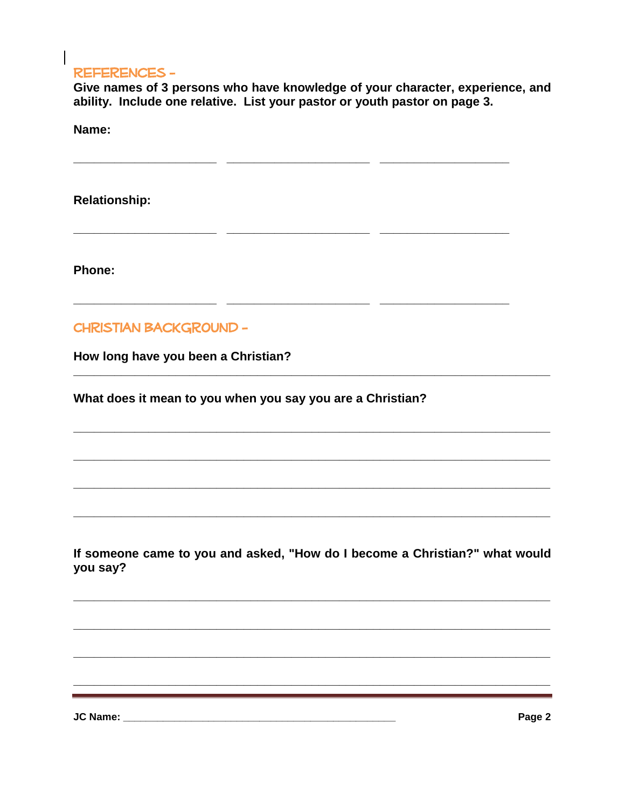#### **REFERENCES -**

Give names of 3 persons who have knowledge of your character, experience, and ability. Include one relative. List your pastor or youth pastor on page 3.

. .

 $\overline{\phantom{a}}$ 

Name:

**Relationship:** 

Phone:

#### **CHRISTIAN BACKGROUND -**

How long have you been a Christian?

What does it mean to you when you say you are a Christian?

 $\overline{a}$ 

 $\overline{\phantom{a}}$ 

<u>. .</u>

If someone came to you and asked, "How do I become a Christian?" what would vou say?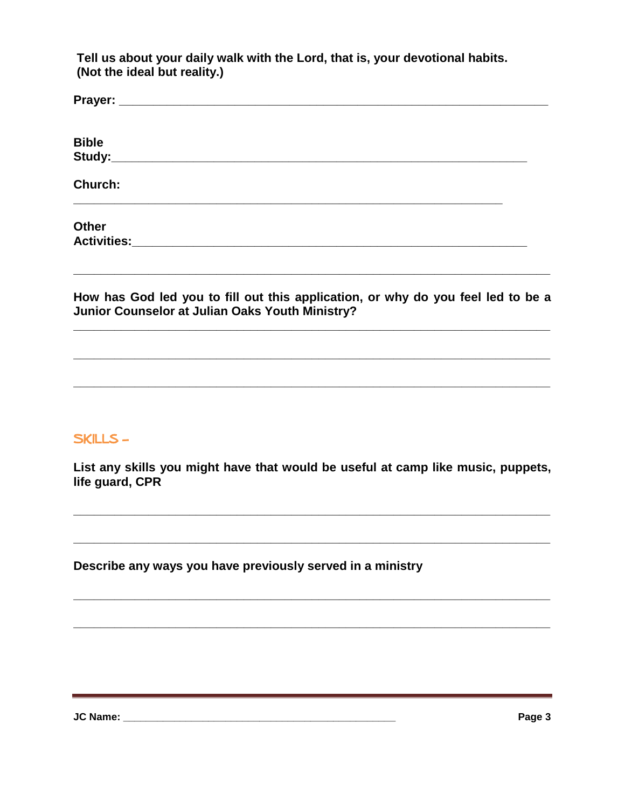Tell us about your daily walk with the Lord, that is, your devotional habits. (Not the ideal but reality.)

| <b>Bible</b>                                                                                                                        |  |
|-------------------------------------------------------------------------------------------------------------------------------------|--|
| Church:                                                                                                                             |  |
| <b>Other</b>                                                                                                                        |  |
| How has God led you to fill out this application, or why do you feel led to be a<br>Junior Counselor at Julian Oaks Youth Ministry? |  |

### **SKILLS-**

List any skills you might have that would be useful at camp like music, puppets, life guard, CPR

<u> La componenta de la componenta de la componenta de la componenta de la componenta de la componenta de la compo</u>

Describe any ways you have previously served in a ministry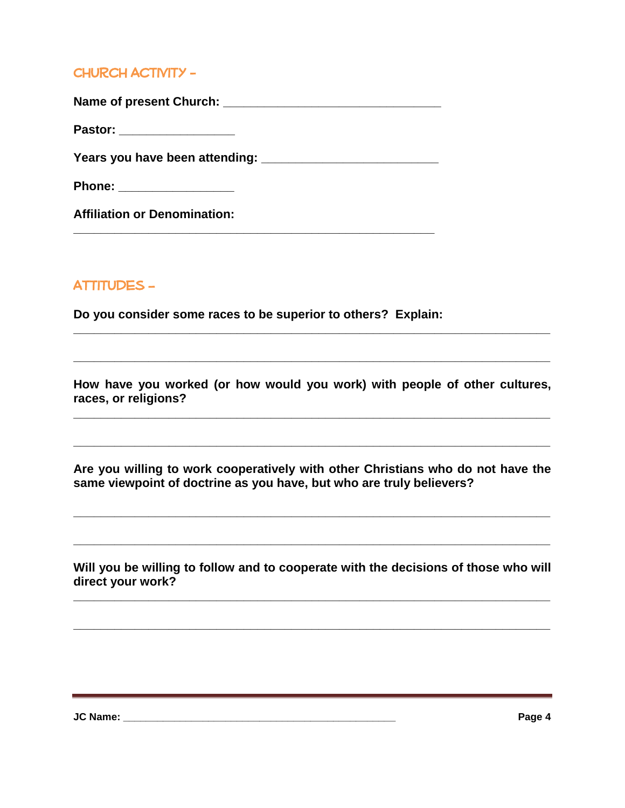# CHURCH ACTIVITY -

Name of present Church:

**Pastor:**  $\blacksquare$ 

**Years you have been attending: \_\_\_\_\_\_\_\_\_\_\_\_\_\_\_\_\_\_\_\_\_\_\_\_\_\_** 

**\_\_\_\_\_\_\_\_\_\_\_\_\_\_\_\_\_\_\_\_\_\_\_\_\_\_\_\_\_\_\_\_\_\_\_\_\_\_\_\_\_\_\_\_\_\_\_\_\_\_\_\_\_**

**Phone: \_\_\_\_\_\_\_\_\_\_\_\_\_\_\_\_\_**

**Affiliation or Denomination:** 

# **ATTITUDES –**

**Do you consider some races to be superior to others? Explain:** 

**How have you worked (or how would you work) with people of other cultures, races, or religions?** 

**\_\_\_\_\_\_\_\_\_\_\_\_\_\_\_\_\_\_\_\_\_\_\_\_\_\_\_\_\_\_\_\_\_\_\_\_\_\_\_\_\_\_\_\_\_\_\_\_\_\_\_\_\_\_\_\_\_\_\_\_\_\_\_\_\_\_\_\_\_\_**

**\_\_\_\_\_\_\_\_\_\_\_\_\_\_\_\_\_\_\_\_\_\_\_\_\_\_\_\_\_\_\_\_\_\_\_\_\_\_\_\_\_\_\_\_\_\_\_\_\_\_\_\_\_\_\_\_\_\_\_\_\_\_\_\_\_\_\_\_\_\_**

**Are you willing to work cooperatively with other Christians who do not have the same viewpoint of doctrine as you have, but who are truly believers?** 

**\_\_\_\_\_\_\_\_\_\_\_\_\_\_\_\_\_\_\_\_\_\_\_\_\_\_\_\_\_\_\_\_\_\_\_\_\_\_\_\_\_\_\_\_\_\_\_\_\_\_\_\_\_\_\_\_\_\_\_\_\_\_\_\_\_\_\_\_\_\_**

**\_\_\_\_\_\_\_\_\_\_\_\_\_\_\_\_\_\_\_\_\_\_\_\_\_\_\_\_\_\_\_\_\_\_\_\_\_\_\_\_\_\_\_\_\_\_\_\_\_\_\_\_\_\_\_\_\_\_\_\_\_\_\_\_\_\_\_\_\_\_**

**\_\_\_\_\_\_\_\_\_\_\_\_\_\_\_\_\_\_\_\_\_\_\_\_\_\_\_\_\_\_\_\_\_\_\_\_\_\_\_\_\_\_\_\_\_\_\_\_\_\_\_\_\_\_\_\_\_\_\_\_\_\_\_\_\_\_\_\_\_\_**

**Will you be willing to follow and to cooperate with the decisions of those who will direct your work?** 

**\_\_\_\_\_\_\_\_\_\_\_\_\_\_\_\_\_\_\_\_\_\_\_\_\_\_\_\_\_\_\_\_\_\_\_\_\_\_\_\_\_\_\_\_\_\_\_\_\_\_\_\_\_\_\_\_\_\_\_\_\_\_\_\_\_\_\_\_\_\_**

**\_\_\_\_\_\_\_\_\_\_\_\_\_\_\_\_\_\_\_\_\_\_\_\_\_\_\_\_\_\_\_\_\_\_\_\_\_\_\_\_\_\_\_\_\_\_\_\_\_\_\_\_\_\_\_\_\_\_\_\_\_\_\_\_\_\_\_\_\_\_**

<u> 1989 - Andrea Santa Andrea Andrea Andrea Andrea Andrea Andrea Andrea Andrea Andrea Andrea Andrea Andrea Andr</u>

**JC Name: \_\_\_\_\_\_\_\_\_\_\_\_\_\_\_\_\_\_\_\_\_\_\_\_\_\_\_\_\_\_\_\_\_\_\_\_\_\_\_\_\_\_\_\_\_\_\_\_ Page 4**